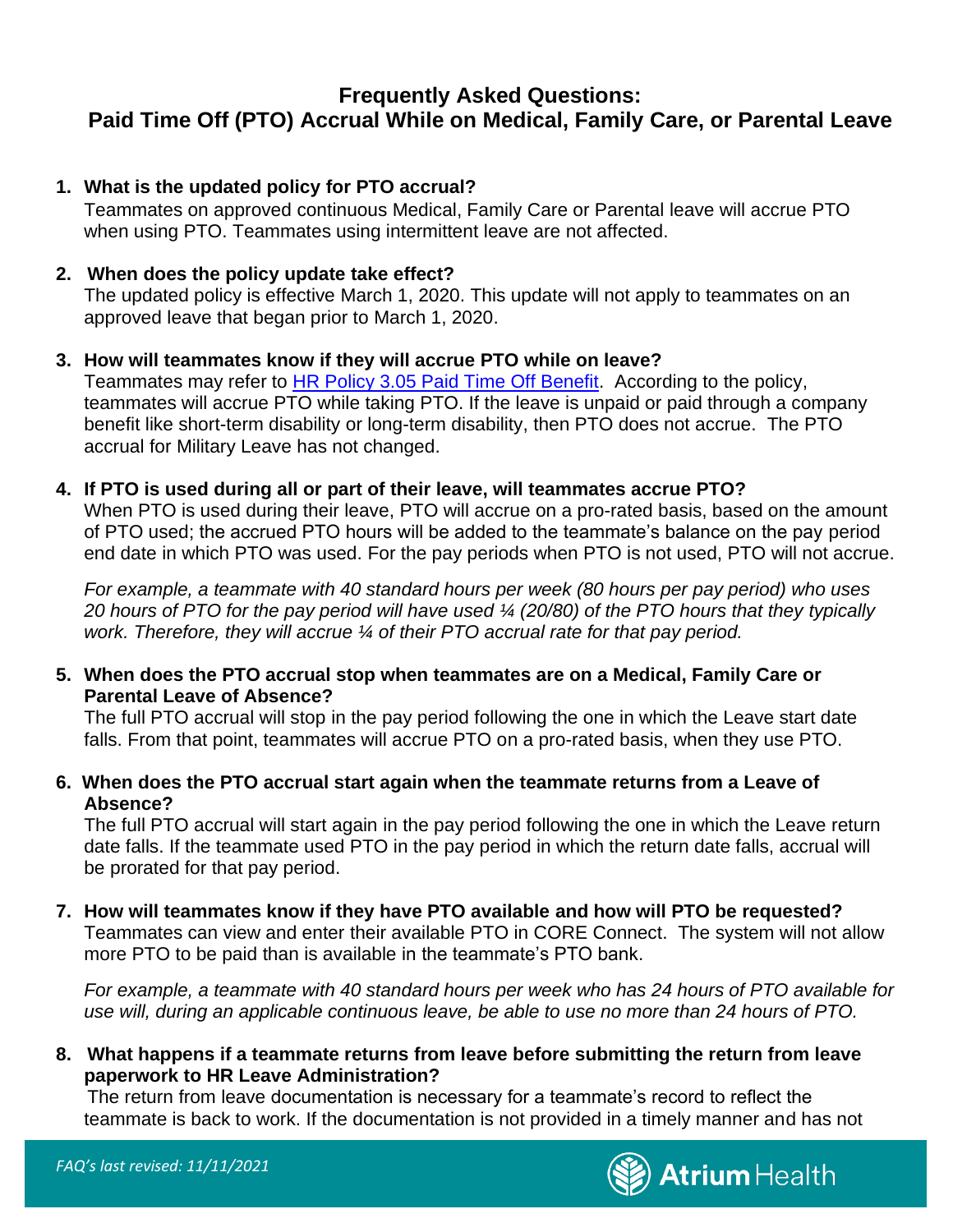## **Frequently Asked Questions: Paid Time Off (PTO) Accrual While on Medical, Family Care, or Parental Leave**

### **1. What is the updated policy for PTO accrual?**

Teammates on approved continuous Medical, Family Care or Parental leave will accrue PTO when using PTO. Teammates using intermittent leave are not affected.

#### **2. When does the policy update take effect?**

The updated policy is effective March 1, 2020. This update will not apply to teammates on an approved leave that began prior to March 1, 2020.

#### **3. How will teammates know if they will accrue PTO while on leave?**

Teammates may refer to **HR Policy 3.05 Paid Time Off Benefit.** According to the policy, teammates will accrue PTO while taking PTO. If the leave is unpaid or paid through a company benefit like short-term disability or long-term disability, then PTO does not accrue. The PTO accrual for Military Leave has not changed.

#### **4. If PTO is used during all or part of their leave, will teammates accrue PTO?**

When PTO is used during their leave, PTO will accrue on a pro-rated basis, based on the amount of PTO used; the accrued PTO hours will be added to the teammate's balance on the pay period end date in which PTO was used. For the pay periods when PTO is not used, PTO will not accrue.

*For example, a teammate with 40 standard hours per week (80 hours per pay period) who uses 20 hours of PTO for the pay period will have used ¼ (20/80) of the PTO hours that they typically work. Therefore, they will accrue ¼ of their PTO accrual rate for that pay period.*

#### **5. When does the PTO accrual stop when teammates are on a Medical, Family Care or Parental Leave of Absence?**

The full PTO accrual will stop in the pay period following the one in which the Leave start date falls. From that point, teammates will accrue PTO on a pro-rated basis, when they use PTO.

### **6. When does the PTO accrual start again when the teammate returns from a Leave of Absence?**

The full PTO accrual will start again in the pay period following the one in which the Leave return date falls. If the teammate used PTO in the pay period in which the return date falls, accrual will be prorated for that pay period.

**7. How will teammates know if they have PTO available and how will PTO be requested?**  Teammates can view and enter their available PTO in CORE Connect. The system will not allow more PTO to be paid than is available in the teammate's PTO bank.

*For example, a teammate with 40 standard hours per week who has 24 hours of PTO available for use will, during an applicable continuous leave, be able to use no more than 24 hours of PTO.* 

**8. What happens if a teammate returns from leave before submitting the return from leave paperwork to HR Leave Administration?**

The return from leave documentation is necessary for a teammate's record to reflect the teammate is back to work. If the documentation is not provided in a timely manner and has not